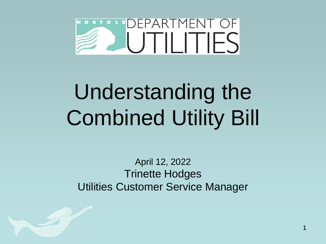

# Understanding the Combined Utility Bill

April 12, 2022 Trinette Hodges Utilities Customer Service Manager

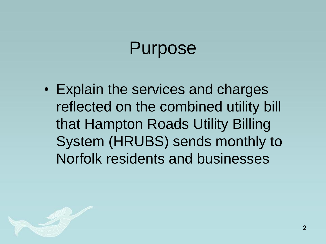#### Purpose

• Explain the services and charges reflected on the combined utility bill that Hampton Roads Utility Billing System (HRUBS) sends monthly to Norfolk residents and businesses

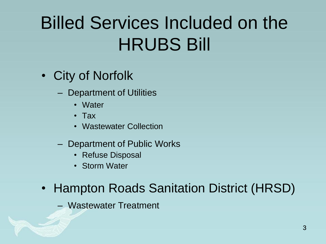#### Billed Services Included on the HRUBS Bill

- City of Norfolk
	- Department of Utilities
		- Water
		- Tax
		- Wastewater Collection
	- Department of Public Works
		- Refuse Disposal
		- Storm Water
- Hampton Roads Sanitation District (HRSD)
	- Wastewater Treatment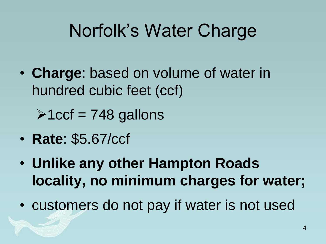#### Norfolk's Water Charge

• **Charge**: based on volume of water in hundred cubic feet (ccf)

 $\geq 1$ ccf = 748 gallons

- **Rate**: \$5.67/ccf
- **Unlike any other Hampton Roads locality, no minimum charges for water;**
- customers do not pay if water is not used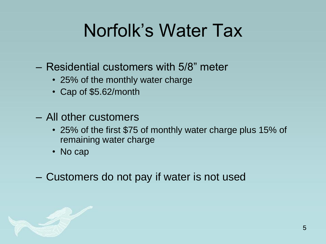#### Norfolk's Water Tax

- Residential customers with 5/8" meter
	- 25% of the monthly water charge
	- Cap of \$5.62/month
- All other customers
	- 25% of the first \$75 of monthly water charge plus 15% of remaining water charge
	- No cap
- Customers do not pay if water is not used

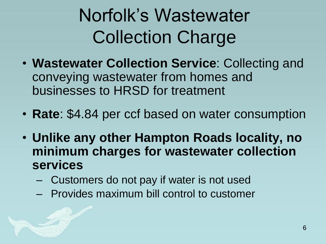### Norfolk's Wastewater Collection Charge

- **Wastewater Collection Service**: Collecting and conveying wastewater from homes and businesses to HRSD for treatment
- **Rate**: \$4.84 per ccf based on water consumption
- **Unlike any other Hampton Roads locality, no minimum charges for wastewater collection services**
	- Customers do not pay if water is not used
	- Provides maximum bill control to customer

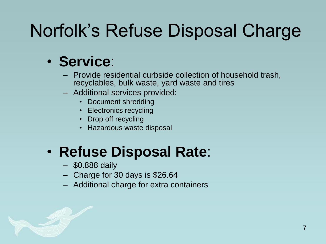#### Norfolk's Refuse Disposal Charge

#### • **Service**:

- Provide residential curbside collection of household trash, recyclables, bulk waste, yard waste and tires
- Additional services provided:
	- Document shredding
	- Electronics recycling
	- Drop off recycling
	- Hazardous waste disposal

#### • **Refuse Disposal Rate**:

- \$0.888 daily
- Charge for 30 days is \$26.64
- Additional charge for extra containers

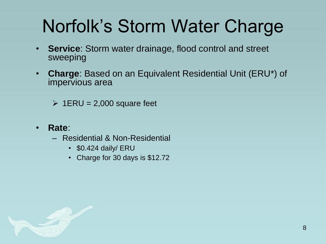#### Norfolk's Storm Water Charge

- **Service**: Storm water drainage, flood control and street sweeping
- **Charge**: Based on an Equivalent Residential Unit (ERU\*) of impervious area
	- $\geq$  1ERU = 2,000 square feet
- **Rate**:
	- Residential & Non-Residential
		- \$0.424 daily/ ERU
		- Charge for 30 days is \$12.72

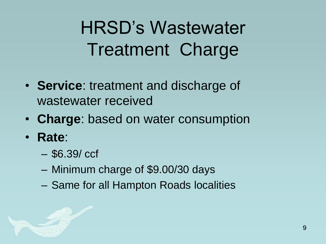### HRSD's Wastewater Treatment Charge

- **Service**: treatment and discharge of wastewater received
- **Charge**: based on water consumption
- **Rate**:
	- \$6.39/ ccf
	- Minimum charge of \$9.00/30 days
	- Same for all Hampton Roads localities